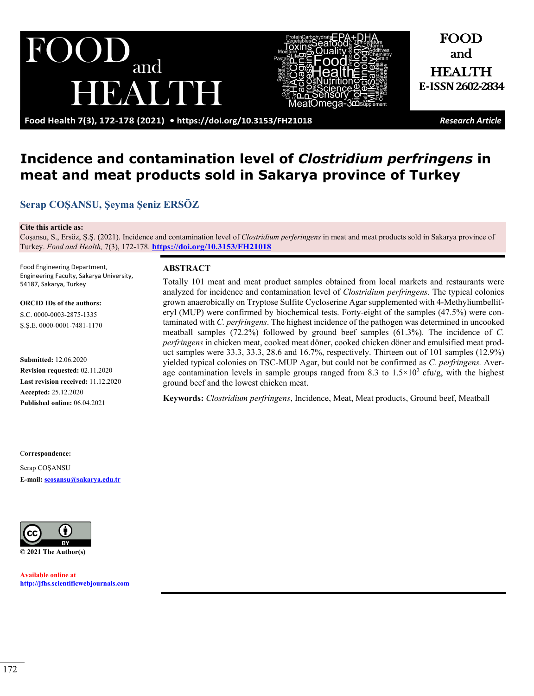and BAUDE



**Food Health 7(3), 172-178 (2021) •<https://doi.org/10.3153/FH21018>** *Research Article*

FOOD and HEALTH **E-ISSN2602-2834**

# **Incidence and contamination level of** *Clostridium perfringens* **in meat and meat products sold in Sakarya province of Turkey**

**[Serap COŞANSU](https://orcid.org/0000-0003-2875-1335), [Şeyma Şeniz](https://orcid.org/0000-0001-7481-1170) ERSÖZ**

#### **Cite this article as:**

Coşansu, S., Ersöz, Ş.Ş. (2021). Incidence and contamination level of *Clostridium perferingens* in meat and meat products sold in Sakarya province of Turkey. *Food and Health,* 7(3), 172-178. **<https://doi.org/10.3153/FH21018>**

Food Engineering Department, Engineering Faculty, Sakarya University, 54187, Sakarya, Turkey

**ORCID IDs of the authors:**

S.C. 0000-0003-2875-1335 Ş.Ş.E. 0000-0001-7481-1170

**Submitted:** 12.06.2020 **Revision requested:** 02.11.2020 **Last revision received:** 11.12.2020 **Accepted:** 25.12.2020 **Published online:** 06.04.2021

#### **ABSTRACT**

Totally 101 meat and meat product samples obtained from local markets and restaurants were analyzed for incidence and contamination level of *Clostridium perfringens*. The typical colonies grown anaerobically on Tryptose Sulfite Cycloserine Agar supplemented with 4-Methyliumbelliferyl (MUP) were confirmed by biochemical tests. Forty-eight of the samples (47.5%) were contaminated with *C. perfringens*. The highest incidence of the pathogen was determined in uncooked meatball samples (72.2%) followed by ground beef samples (61.3%). The incidence of *C. perfringens* in chicken meat, cooked meat döner, cooked chicken döner and emulsified meat product samples were 33.3, 33.3, 28.6 and 16.7%, respectively. Thirteen out of 101 samples (12.9%) yielded typical colonies on TSC-MUP Agar, but could not be confirmed as *C. perfringens.* Average contamination levels in sample groups ranged from 8.3 to  $1.5 \times 10^2$  cfu/g, with the highest ground beef and the lowest chicken meat.

**Keywords:** *Clostridium perfringens*, Incidence, Meat, Meat products, Ground beef, Meatball

#### C**orrespondence:**

Serap COŞANSU **E-mail: [scosansu@sakarya.edu.tr](mailto:scosansu@sakarya.edu.tr)**



**Available online at [http://jfhs.scientificwebjournals.com](http://jfhs.scientificwebjournals.com/)**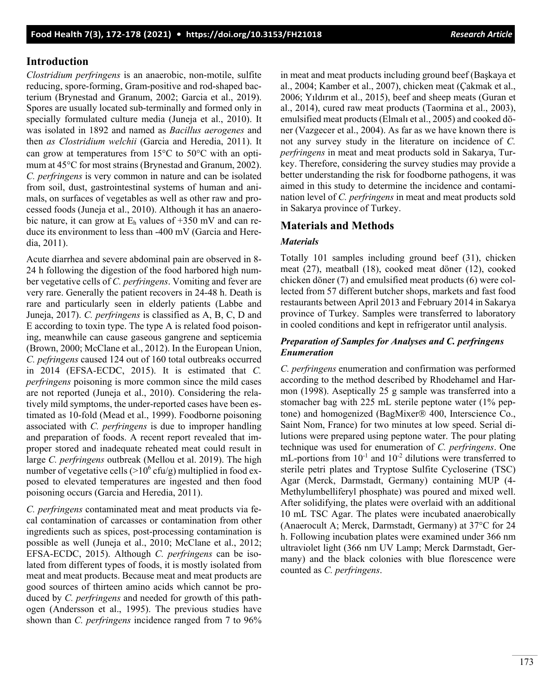**Food Health 7(3), 172-178 (2021) • <https://doi.org/10.3153/FH21018>***Research Article*

## **Introduction**

*Clostridium perfringens* is an anaerobic, non-motile, sulfite reducing, spore-forming, Gram-positive and rod-shaped bacterium (Brynestad and Granum, 2002; Garcia et al., 2019). Spores are usually located sub-terminally and formed only in specially formulated culture media (Juneja et al., 2010). It was isolated in 1892 and named as *Bacillus aerogenes* and then *as Clostridium welchii* (Garcia and Heredia, 2011). It can grow at temperatures from 15°C to 50°C with an optimum at 45°C for most strains (Brynestad and Granum, 2002). *C. perfringens* is very common in nature and can be isolated from soil, dust, gastrointestinal systems of human and animals, on surfaces of vegetables as well as other raw and processed foods (Juneja et al., 2010). Although it has an anaerobic nature, it can grow at  $E_h$  values of  $+350$  mV and can reduce its environment to less than -400 mV (Garcia and Heredia, 2011).

Acute diarrhea and severe abdominal pain are observed in 8- 24 h following the digestion of the food harbored high number vegetative cells of *C. perfringens*. Vomiting and fever are very rare. Generally the patient recovers in 24-48 h. Death is rare and particularly seen in elderly patients (Labbe and Juneja, 2017). *C. perfringens* is classified as A, B, C, D and E according to toxin type. The type A is related food poisoning, meanwhile can cause gaseous gangrene and septicemia (Brown, 2000; McClane et al., 2012). In the European Union, *C. pefringens* caused 124 out of 160 total outbreaks occurred in 2014 (EFSA-ECDC, 2015). It is estimated that *C. perfringens* poisoning is more common since the mild cases are not reported (Juneja et al., 2010). Considering the relatively mild symptoms, the under-reported cases have been estimated as 10-fold (Mead et al., 1999). Foodborne poisoning associated with *C. perfringens* is due to improper handling and preparation of foods. A recent report revealed that improper stored and inadequate reheated meat could result in large *C. perfringens* outbreak (Mellou et al. 2019). The high number of vegetative cells  $(>10^6 \text{ cftu/g})$  multiplied in food exposed to elevated temperatures are ingested and then food poisoning occurs (Garcia and Heredia, 2011).

*C. perfringens* contaminated meat and meat products via fecal contamination of carcasses or contamination from other ingredients such as spices, post-processing contamination is possible as well (Juneja et al., 2010; McClane et al., 2012; EFSA-ECDC, 2015). Although *C. perfringens* can be isolated from different types of foods, it is mostly isolated from meat and meat products. Because meat and meat products are good sources of thirteen amino acids which cannot be produced by *C. perfringens* and needed for growth of this pathogen (Andersson et al., 1995). The previous studies have shown than *C. perfringens* incidence ranged from 7 to 96% in meat and meat products including ground beef (Başkaya et al., 2004; Kamber et al., 2007), chicken meat (Çakmak et al., 2006; Yıldırım et al., 2015), beef and sheep meats (Guran et al., 2014), cured raw meat products (Taormina et al., 2003), emulsified meat products (Elmalı et al., 2005) and cooked döner (Vazgecer et al., 2004). As far as we have known there is not any survey study in the literature on incidence of *C. perfringens* in meat and meat products sold in Sakarya, Turkey. Therefore, considering the survey studies may provide a better understanding the risk for foodborne pathogens, it was aimed in this study to determine the incidence and contamination level of *C. perfringens* in meat and meat products sold in Sakarya province of Turkey.

## **Materials and Methods**

#### *Materials*

Totally 101 samples including ground beef (31), chicken meat (27), meatball (18), cooked meat döner (12), cooked chicken döner (7) and emulsified meat products (6) were collected from 57 different butcher shops, markets and fast food restaurants between April 2013 and February 2014 in Sakarya province of Turkey. Samples were transferred to laboratory in cooled conditions and kept in refrigerator until analysis.

## *Preparation of Samples for Analyses and C. perfringens Enumeration*

*C. perfringens* enumeration and confirmation was performed according to the method described by Rhodehamel and Harmon (1998). Aseptically 25 g sample was transferred into a stomacher bag with 225 mL sterile peptone water (1% peptone) and homogenized (BagMixer<sup>®</sup> 400, Interscience Co., Saint Nom, France) for two minutes at low speed. Serial dilutions were prepared using peptone water. The pour plating technique was used for enumeration of *C. perfringens*. One mL-portions from  $10^{-1}$  and  $10^{-2}$  dilutions were transferred to sterile petri plates and Tryptose Sulfite Cycloserine (TSC) Agar (Merck, Darmstadt, Germany) containing MUP (4- Methylumbelliferyl phosphate) was poured and mixed well. After solidifying, the plates were overlaid with an additional 10 mL TSC Agar. The plates were incubated anaerobically (Anaerocult A; Merck, Darmstadt, Germany) at 37°C for 24 h. Following incubation plates were examined under 366 nm ultraviolet light (366 nm UV Lamp; Merck Darmstadt, Germany) and the black colonies with blue florescence were counted as *C. perfringens*.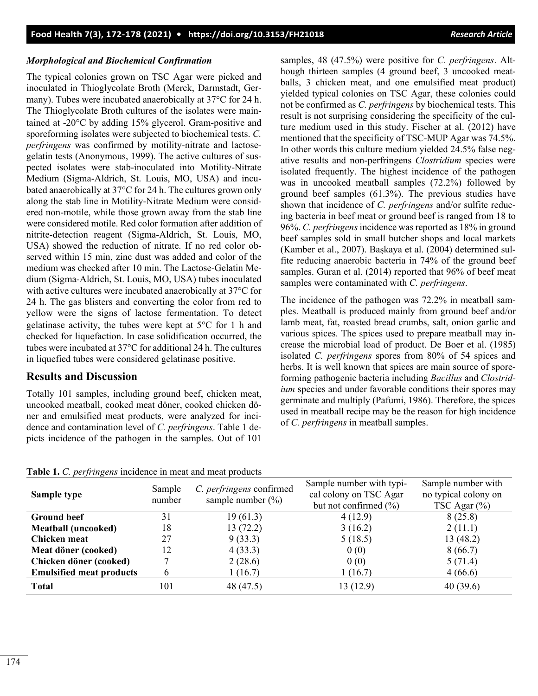#### *Morphological and Biochemical Confirmation*

The typical colonies grown on TSC Agar were picked and inoculated in Thioglycolate Broth (Merck, Darmstadt, Germany). Tubes were incubated anaerobically at 37°C for 24 h. The Thioglycolate Broth cultures of the isolates were maintained at -20°C by adding 15% glycerol. Gram-positive and sporeforming isolates were subjected to biochemical tests. *C. perfringens* was confirmed by motility-nitrate and lactosegelatin tests (Anonymous, 1999). The active cultures of suspected isolates were stab-inoculated into Motility-Nitrate Medium (Sigma-Aldrich, St. Louis, MO, USA) and incubated anaerobically at 37°C for 24 h. The cultures grown only along the stab line in Motility-Nitrate Medium were considered non-motile, while those grown away from the stab line were considered motile. Red color formation after addition of nitrite-detection reagent (Sigma-Aldrich, St. Louis, MO, USA) showed the reduction of nitrate. If no red color observed within 15 min, zinc dust was added and color of the medium was checked after 10 min. The Lactose-Gelatin Medium (Sigma-Aldrich, St. Louis, MO, USA) tubes inoculated with active cultures were incubated anaerobically at 37°C for 24 h. The gas blisters and converting the color from red to yellow were the signs of lactose fermentation. To detect gelatinase activity, the tubes were kept at 5°C for 1 h and checked for liquefaction. In case solidification occurred, the tubes were incubated at 37°C for additional 24 h. The cultures in liquefied tubes were considered gelatinase positive.

# **Results and Discussion**

Totally 101 samples, including ground beef, chicken meat, uncooked meatball, cooked meat döner, cooked chicken döner and emulsified meat products, were analyzed for incidence and contamination level of *C. perfringens*. Table 1 depicts incidence of the pathogen in the samples. Out of 101 samples, 48 (47.5%) were positive for *C. perfringens*. Although thirteen samples (4 ground beef, 3 uncooked meatballs, 3 chicken meat, and one emulsified meat product) yielded typical colonies on TSC Agar, these colonies could not be confirmed as *C. perfringens* by biochemical tests. This result is not surprising considering the specificity of the culture medium used in this study. Fischer at al. (2012) have mentioned that the specificity of TSC-MUP Agar was 74.5%. In other words this culture medium yielded 24.5% false negative results and non-perfringens *Clostridium* species were isolated frequently. The highest incidence of the pathogen was in uncooked meatball samples (72.2%) followed by ground beef samples (61.3%). The previous studies have shown that incidence of *C. perfringens* and/or sulfite reducing bacteria in beef meat or ground beef is ranged from 18 to 96%. *C. perfringens* incidence was reported as 18% in ground beef samples sold in small butcher shops and local markets (Kamber et al., 2007). Başkaya et al. (2004) determined sulfite reducing anaerobic bacteria in 74% of the ground beef samples. Guran et al. (2014) reported that 96% of beef meat samples were contaminated with *C. perfringens*.

The incidence of the pathogen was 72.2% in meatball samples. Meatball is produced mainly from ground beef and/or lamb meat, fat, roasted bread crumbs, salt, onion garlic and various spices. The spices used to prepare meatball may increase the microbial load of product. De Boer et al. (1985) isolated *C. perfringens* spores from 80% of 54 spices and herbs. It is well known that spices are main source of sporeforming pathogenic bacteria including *Bacillus* and *Clostridium* species and under favorable conditions their spores may germinate and multiply (Pafumi, 1986). Therefore, the spices used in meatball recipe may be the reason for high incidence of *C. perfringens* in meatball samples.

| <b>Table 1.</b> C. <i>per pingens</i> incredited in meat and meat products |                  |                                                   |                                                                                 |                                                                |  |  |  |  |
|----------------------------------------------------------------------------|------------------|---------------------------------------------------|---------------------------------------------------------------------------------|----------------------------------------------------------------|--|--|--|--|
| Sample type                                                                | Sample<br>number | C. perfringens confirmed<br>sample number $(\% )$ | Sample number with typi-<br>cal colony on TSC Agar<br>but not confirmed $(\% )$ | Sample number with<br>no typical colony on<br>TSC Agar $(\% )$ |  |  |  |  |
| <b>Ground beef</b>                                                         | 31               | 19(61.3)                                          | 4(12.9)                                                                         | 8(25.8)                                                        |  |  |  |  |
| <b>Meatball (uncooked)</b>                                                 | 18               | 13 (72.2)                                         | 3(16.2)                                                                         | 2(11.1)                                                        |  |  |  |  |
| Chicken meat                                                               | 27               | 9(33.3)                                           | 5(18.5)                                                                         | 13(48.2)                                                       |  |  |  |  |
| Meat döner (cooked)                                                        | 12               | 4(33.3)                                           | 0(0)                                                                            | 8(66.7)                                                        |  |  |  |  |
| Chicken döner (cooked)                                                     |                  | 2(28.6)                                           | 0(0)                                                                            | 5(71.4)                                                        |  |  |  |  |
| <b>Emulsified meat products</b>                                            | b                | 1(16.7)                                           | 1(16.7)                                                                         | 4(66.6)                                                        |  |  |  |  |
| <b>Total</b>                                                               | 101              | 48 (47.5)                                         | 13 (12.9)                                                                       | 40(39.6)                                                       |  |  |  |  |

**Table 1.** *C. perfringens* incidence in meat and meat products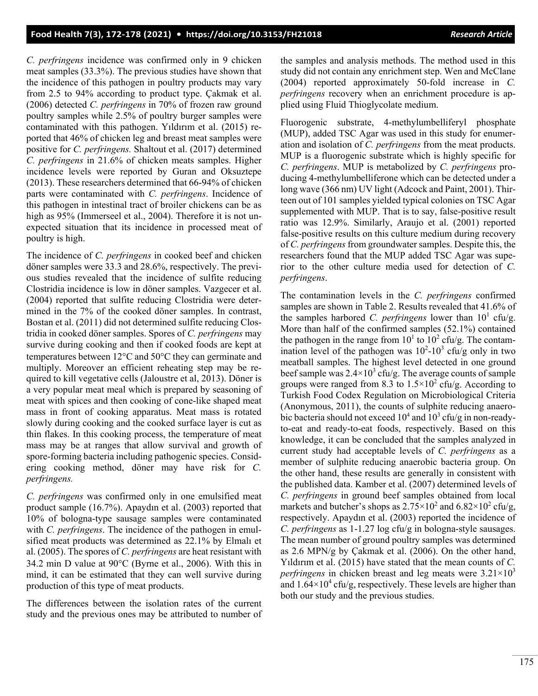*C. perfringens* incidence was confirmed only in 9 chicken meat samples (33.3%). The previous studies have shown that the incidence of this pathogen in poultry products may vary from 2.5 to 94% according to product type. Çakmak et al. (2006) detected *C. perfringens* in 70% of frozen raw ground poultry samples while 2.5% of poultry burger samples were contaminated with this pathogen. Yıldırım et al. (2015) reported that 46% of chicken leg and breast meat samples were positive for *C. perfringens.* Shaltout et al. (2017) determined *C. perfringens* in 21.6% of chicken meats samples. Higher incidence levels were reported by Guran and Oksuztepe (2013). These researchers determined that 66-94% of chicken parts were contaminated with *C. perfringens*. Incidence of this pathogen in intestinal tract of broiler chickens can be as high as 95% (Immerseel et al., 2004). Therefore it is not unexpected situation that its incidence in processed meat of poultry is high.

The incidence of *C. perfringens* in cooked beef and chicken döner samples were 33.3 and 28.6%, respectively. The previous studies revealed that the incidence of sulfite reducing Clostridia incidence is low in döner samples. Vazgecer et al. (2004) reported that sulfite reducing Clostridia were determined in the 7% of the cooked döner samples. In contrast, Bostan et al. (2011) did not determined sulfite reducing Clostridia in cooked döner samples. Spores of *C. perfringens* may survive during cooking and then if cooked foods are kept at temperatures between 12°C and 50°C they can germinate and multiply. Moreover an efficient reheating step may be required to kill vegetative cells (Jaloustre et al, 2013). Döner is a very popular meat meal which is prepared by seasoning of meat with spices and then cooking of cone-like shaped meat mass in front of cooking apparatus. Meat mass is rotated slowly during cooking and the cooked surface layer is cut as thin flakes. In this cooking process, the temperature of meat mass may be at ranges that allow survival and growth of spore-forming bacteria including pathogenic species. Considering cooking method, döner may have risk for *C. perfringens.*

*C. perfringens* was confirmed only in one emulsified meat product sample (16.7%). Apaydın et al. (2003) reported that 10% of bologna-type sausage samples were contaminated with *C. perfringens*. The incidence of the pathogen in emulsified meat products was determined as 22.1% by Elmalı et al. (2005). The spores of *C. perfringens* are heat resistant with 34.2 min D value at 90°C (Byrne et al., 2006). With this in mind, it can be estimated that they can well survive during production of this type of meat products.

The differences between the isolation rates of the current study and the previous ones may be attributed to number of the samples and analysis methods. The method used in this study did not contain any enrichment step. Wen and McClane (2004) reported approximately 50-fold increase in *C. perfringens* recovery when an enrichment procedure is applied using Fluid Thioglycolate medium.

Fluorogenic substrate, 4-methylumbelliferyl phosphate (MUP), added TSC Agar was used in this study for enumeration and isolation of *C. perfringens* from the meat products. MUP is a fluorogenic substrate which is highly specific for *C. perfringens*. MUP is metabolized by *C. perfringens* producing 4-methylumbelliferone which can be detected under a long wave (366 nm) UV light (Adcock and Paint, 2001). Thirteen out of 101 samples yielded typical colonies on TSC Agar supplemented with MUP. That is to say, false-positive result ratio was 12.9%. Similarly, Araujo et al. (2001) reported false-positive results on this culture medium during recovery of *C. perfringens*from groundwater samples. Despite this, the researchers found that the MUP added TSC Agar was superior to the other culture media used for detection of *C. perfringens*.

The contamination levels in the *C. perfringens* confirmed samples are shown in Table 2. Results revealed that 41.6% of the samples harbored *C. perfringens* lower than  $10^1$  cfu/g. More than half of the confirmed samples (52.1%) contained the pathogen in the range from  $10^1$  to  $10^2$  cfu/g. The contamination level of the pathogen was  $10^2$ -10<sup>3</sup> cfu/g only in two meatball samples. The highest level detected in one ground beef sample was  $2.4 \times 10^3$  cfu/g. The average counts of sample groups were ranged from 8.3 to  $1.5 \times 10^2$  cfu/g. According to Turkish Food Codex Regulation on Microbiological Criteria (Anonymous, 2011), the counts of sulphite reducing anaerobic bacteria should not exceed  $10^4$  and  $10^3$  cfu/g in non-readyto-eat and ready-to-eat foods, respectively. Based on this knowledge, it can be concluded that the samples analyzed in current study had acceptable levels of *C. perfringens* as a member of sulphite reducing anaerobic bacteria group. On the other hand, these results are generally in consistent with the published data. Kamber et al. (2007) determined levels of *C. perfringens* in ground beef samples obtained from local markets and butcher's shops as  $2.75 \times 10^2$  and  $6.82 \times 10^2$  cfu/g, respectively. Apaydın et al. (2003) reported the incidence of *C. perfringens* as 1-1.27 log cfu/g in bologna-style sausages. The mean number of ground poultry samples was determined as 2.6 MPN/g by Çakmak et al. (2006). On the other hand, Yıldırım et al. (2015) have stated that the mean counts of *C. perfringens* in chicken breast and leg meats were  $3.21 \times 10^3$ and  $1.64\times10^4$  cfu/g, respectively. These levels are higher than both our study and the previous studies.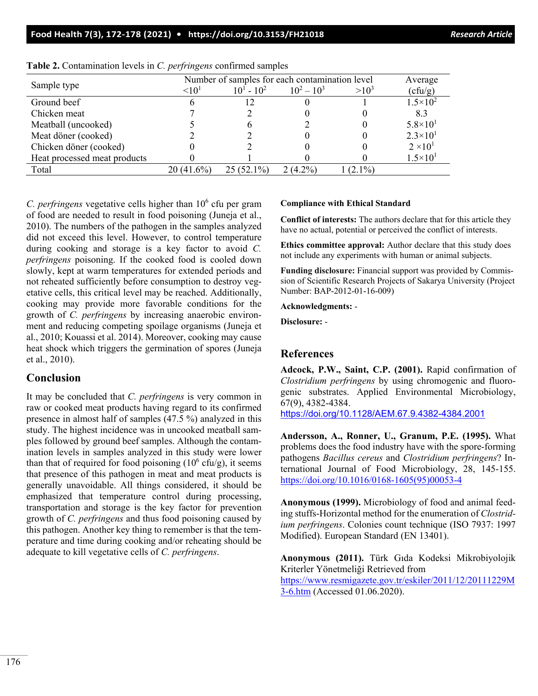#### **Food Health 7(3), 172-178 (2021) • <https://doi.org/10.3153/FH21018>** *Research Article*

| Sample type                  | Number of samples for each contamination level | Average           |               |           |                     |
|------------------------------|------------------------------------------------|-------------------|---------------|-----------|---------------------|
|                              | $\leq 10^{1}$                                  | $10^{1} - 10^{2}$ | $10^2 - 10^3$ | $>10^{3}$ | (cfu/g)             |
| Ground beef                  |                                                |                   |               |           | $1.5 \times 10^{2}$ |
| Chicken meat                 |                                                |                   |               |           | 8.3                 |
| Meatball (uncooked)          |                                                |                   |               |           | $5.8 \times 10^{1}$ |
| Meat döner (cooked)          |                                                |                   |               |           | $2.3 \times 10^{1}$ |
| Chicken döner (cooked)       |                                                |                   |               |           | $2 \times 10^{1}$   |
| Heat processed meat products |                                                |                   |               |           | $1.5 \times 10^{1}$ |
| Total                        | 20 (41.6%)                                     | $25(52.1\%)$      | $2(4.2\%)$    | $(2.1\%)$ |                     |

|  |  | Table 2. Contamination levels in C. perfringens confirmed samples |  |  |  |  |  |
|--|--|-------------------------------------------------------------------|--|--|--|--|--|
|--|--|-------------------------------------------------------------------|--|--|--|--|--|

*C. perfringens* vegetative cells higher than 10<sup>6</sup> cfu per gram of food are needed to result in food poisoning (Juneja et al., 2010). The numbers of the pathogen in the samples analyzed did not exceed this level. However, to control temperature during cooking and storage is a key factor to avoid *C. perfringens* poisoning. If the cooked food is cooled down slowly, kept at warm temperatures for extended periods and not reheated sufficiently before consumption to destroy vegetative cells, this critical level may be reached. Additionally, cooking may provide more favorable conditions for the growth of *C. perfringens* by increasing anaerobic environment and reducing competing spoilage organisms (Juneja et al., 2010; Kouassi et al. 2014). Moreover, cooking may cause heat shock which triggers the germination of spores (Juneja et al., 2010).

# **Conclusion**

It may be concluded that *C. perfringens* is very common in raw or cooked meat products having regard to its confirmed presence in almost half of samples (47.5 %) analyzed in this study. The highest incidence was in uncooked meatball samples followed by ground beef samples. Although the contamination levels in samples analyzed in this study were lower than that of required for food poisoning  $(10^6 \text{ cftu/g})$ , it seems that presence of this pathogen in meat and meat products is generally unavoidable. All things considered, it should be emphasized that temperature control during processing, transportation and storage is the key factor for prevention growth of *C. perfringens* and thus food poisoning caused by this pathogen. Another key thing to remember is that the temperature and time during cooking and/or reheating should be adequate to kill vegetative cells of *C. perfringens*.

#### **Compliance with Ethical Standard**

**Conflict of interests:** The authors declare that for this article they have no actual, potential or perceived the conflict of interests.

**Ethics committee approval:** Author declare that this study does not include any experiments with human or animal subjects.

**Funding disclosure:** Financial support was provided by Commission of Scientific Research Projects of Sakarya University (Project Number: BAP-2012-01-16-009)

**Acknowledgments:** -

**Disclosure:** -

# **References**

**Adcock, P.W., Saint, C.P. (2001).** Rapid confirmation of *Clostridium perfringens* by using chromogenic and fluorogenic substrates. Applied Environmental Microbiology, 67(9), 4382-4384.

<https://doi.org/10.1128/AEM.67.9.4382-4384.2001>

**Andersson, A., Ronner, U., Granum, P.E. (1995).** What problems does the food industry have with the spore-forming pathogens *Bacillus cereus* and *Clostridium perfringens*? International Journal of Food Microbiology, 28, 145-155. [https://doi.org/10.1016/0168](https://doi.org/10.1016/0168-1605(95)00053-4)-1605(95)00053-4

**Anonymous (1999).** Microbiology of food and animal feeding stuffs-Horizontal method for the enumeration of *Clostridium perfringens*. Colonies count technique (ISO 7937: 1997 Modified). European Standard (EN 13401).

**Anonymous (2011).** Türk Gıda Kodeksi Mikrobiyolojik Kriterler Yönetmeliği Retrieved from [https://www.resmigazete.gov.tr/eskiler/2011/12/20111229M](https://www.resmigazete.gov.tr/eskiler/2011/12/20111229M3-6.htm) 3-[6.htm](https://www.resmigazete.gov.tr/eskiler/2011/12/20111229M3-6.htm) (Accessed 01.06.2020).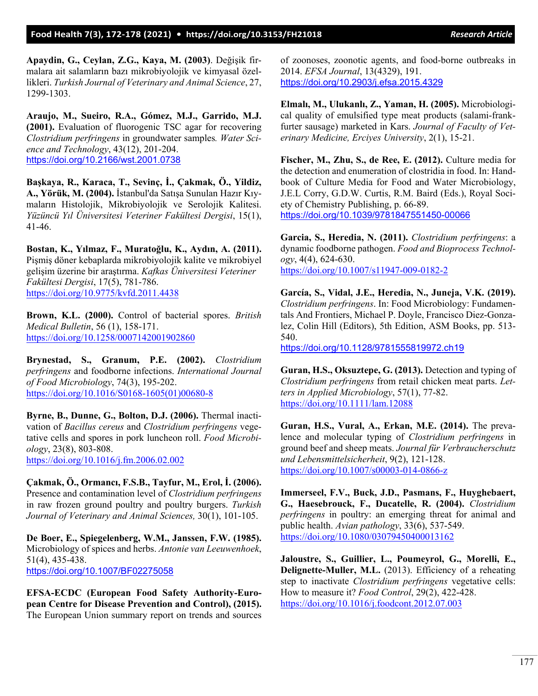**Apaydin, G., Ceylan, Z.G., Kaya, M. (2003)**. Değişik firmalara ait salamların bazı mikrobiyolojik ve kimyasal özellikleri. *Turkish Journal of Veterinary and Animal Science*, 27, 1299-1303.

**Araujo, M., Sueiro, R.A., Gómez, M.J., Garrido, M.J. (2001).** Evaluation of fluorogenic TSC agar for recovering *Clostridium perfringens* in groundwater samples*. Water Science and Technology*, 43(12), 201-204. <https://doi.org/10.2166/wst.2001.0738>

**Başkaya, R., Karaca, T., Sevinç, İ., Çakmak, Ö., Yildiz, A., Yörük, M. (2004).** İstanbul'da Satışa Sunulan Hazır Kıymaların Histolojik, Mikrobiyolojik ve Serolojik Kalitesi. *Yüzüncü Yıl Üniversitesi Veteriner Fakültesi Dergisi*, 15(1), 41-46.

**Bostan, K., Yılmaz, F., Muratoğlu, K., Aydın, A. (2011).** Pişmiş döner kebaplarda mikrobiyolojik kalite ve mikrobiyel gelişim üzerine bir araştırma. *Kafkas Üniversitesi Veteriner Fakültesi Dergisi*, 17(5), 781-786. <https://doi.org/10.9775/kvfd.2011.4438>

**Brown, K.L. (2000).** Control of bacterial spores. *British Medical Bulletin*, 56 (1), 158-171. <https://doi.org/10.1258/0007142001902860>

**Brynestad, S., Granum, P.E. (2002).** *Clostridium perfringens* and foodborne infections. *International Journal of Food Microbiology*, 74(3), 195-202. [https://doi.org/10.1016/S0168](https://doi.org/10.1016/S0168-1605(01)00680-8)-1605(01)00680-8

**Byrne, B., Dunne, G., Bolton, D.J. (2006).** Thermal inactivation of *Bacillus cereus* and *Clostridium perfringens* vegetative cells and spores in pork luncheon roll. *Food Microbiology*, 23(8), 803-808. <https://doi.org/10.1016/j.fm.2006.02.002>

**Çakmak, Ö., Ormancı, F.S.B., Tayfur, M., Erol, İ. (2006).** Presence and contamination level of *Clostridium perfringens* in raw frozen ground poultry and poultry burgers. *Turkish Journal of Veterinary and Animal Sciences,* 30(1), 101-105.

**De Boer, E., Spiegelenberg, W.M., Janssen, F.W. (1985).** Microbiology of spices and herbs. *Antonie van Leeuwenhoek*, 51(4), 435-438. <https://doi.org/10.1007/BF02275058>

**EFSA-ECDC (European Food Safety Authority-European Centre for Disease Prevention and Control), (2015).** The European Union summary report on trends and sources of zoonoses, zoonotic agents, and food-borne outbreaks in 2014. *EFSA Journal*, 13(4329), 191. <https://doi.org/10.2903/j.efsa.2015.4329>

**Elmalı, M., Ulukanlı, Z., Yaman, H. (2005).** Microbiological quality of emulsified type meat products (salami-frankfurter sausage) marketed in Kars. *Journal of Faculty of Veterinary Medicine, Erciyes University*, 2(1), 15-21.

**Fischer, M., Zhu, S., de Ree, E. (2012).** Culture media for the detection and enumeration of clostridia in food. In: Handbook of Culture Media for Food and Water Microbiology, J.E.L Corry, G.D.W. Curtis, R.M. Baird (Eds.), Royal Society of Chemistry Publishing, p. 66-89. <https://doi.org/10.1039/9781847551450-00066>

**Garcia, S., Heredia, N. (2011).** *Clostridium perfringens*: a dynamic foodborne pathogen. *Food and Bioprocess Technology*, 4(4), 624-630. [https://doi.org/10.1007/s11947](https://doi.org/10.1007/s11947-009-0182-2)-009-0182-2

**García, S., Vidal, J.E., Heredia, N., Juneja, V.K. (2019).** *Clostridium perfringens*. In: Food Microbiology: Fundamentals And Frontiers, Michael P. Doyle, Francisco Diez-Gonzalez, Colin Hill (Editors), 5th Edition, ASM Books, pp. 513- 540.

<https://doi.org/10.1128/9781555819972.ch19>

**Guran, H.S., Oksuztepe, G. (2013).** Detection and typing of *Clostridium perfringens* from retail chicken meat parts. *Letters in Applied Microbiology*, 57(1), 77-82. <https://doi.org/10.1111/lam.12088>

**Guran, H.S., Vural, A., Erkan, M.E. (2014).** The prevalence and molecular typing of *Clostridium perfringens* in ground beef and sheep meats. *Journal für Verbraucherschutz und Lebensmittelsicherheit*, 9(2), 121-128. [https://doi.org/10.1007/s00003](https://doi.org/10.1007/s00003-014-0866-z)-014-0866-z

**Immerseel, F.V., Buck, J.D., Pasmans, F., Huyghebaert, G., Haesebrouck, F., Ducatelle, R. (2004).** *Clostridium perfringens* in poultry: an emerging threat for animal and public health. *Avian pathology*, 33(6), 537-549. <https://doi.org/10.1080/03079450400013162>

**Jaloustre, S., Guillier, L., Poumeyrol, G., Morelli, E., Delignette-Muller, M.L.** (2013). Efficiency of a reheating step to inactivate *Clostridium perfringens* vegetative cells: How to measure it? *Food Control*, 29(2), 422-428. <https://doi.org/10.1016/j.foodcont.2012.07.003>